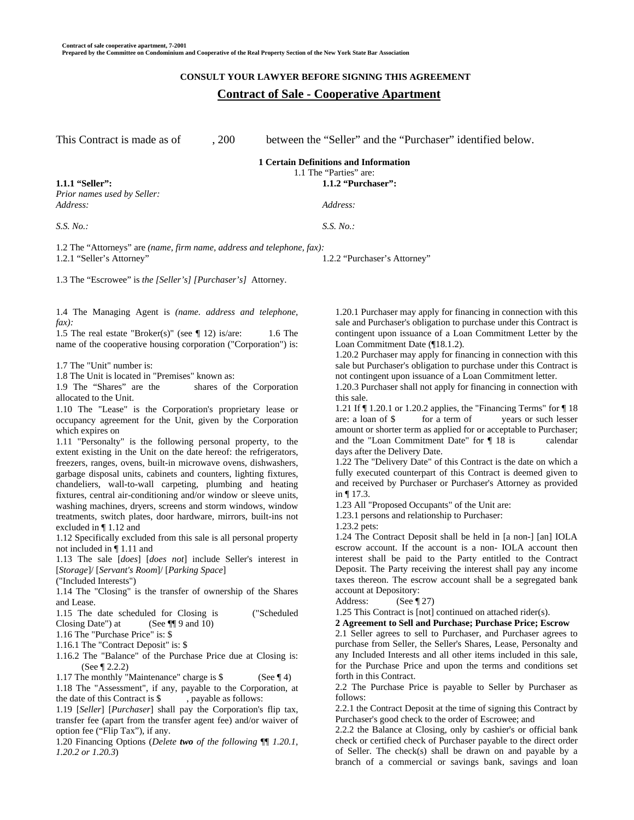# **CONSULT YOUR LAWYER BEFORE SIGNING THIS AGREEMENT Contract of Sale - Cooperative Apartment**

This Contract is made as of  $\qquad \qquad 200$  between the "Seller" and the "Purchaser" identified below.

1.2.2 "Purchaser's Attorney"

#### **1 Certain Definitions and Information**  1.1 The "Parties" are:

**1.1.1 "Seller": 1.1.2 "Purchaser":** 

*Prior names used by Seller: Address: Address:* 

*S.S. No.: S.S. No.:* 

1.2 The "Attorneys" are *(name, firm name, address and telephone, fax):* 1.2.1 "Seller's Attorney"

1.3 The "Escrowee" is *the [Seller's] [Purchaser's]* Attorney.

1.4 The Managing Agent is *(name. address and telephone, fax):* 

1.5 The real estate "Broker(s)" (see ¶ 12) is/are: 1.6 The name of the cooperative housing corporation ("Corporation") is:

1.7 The "Unit" number is:

1.8 The Unit is located in "Premises" known as:<br>1.9 The "Shares" are the shares of

shares of the Corporation allocated to the Unit.

1.10 The "Lease" is the Corporation's proprietary lease or occupancy agreement for the Unit, given by the Corporation which expires on

1.11 "Personalty" is the following personal property, to the extent existing in the Unit on the date hereof: the refrigerators, freezers, ranges, ovens, built-in microwave ovens, dishwashers, garbage disposal units, cabinets and counters, lighting fixtures, chandeliers, wall-to-wall carpeting, plumbing and heating fixtures, central air-conditioning and/or window or sleeve units, washing machines, dryers, screens and storm windows, window treatments, switch plates, door hardware, mirrors, built-ins not excluded in ¶ 1.12 and

1.12 Specifically excluded from this sale is all personal property not included in ¶ 1.11 and

1.13 The sale [*does*] [*does not*] include Seller's interest in [*Storage*]/ [*Servant's Room*]/ [*Parking Space*]

("Included Interests")

1.14 The "Closing" is the transfer of ownership of the Shares and Lease.

1.15 The date scheduled for Closing is ("Scheduled Closing Date") at (See ¶[ 9 and 10)

1.16 The "Purchase Price" is: \$

1.16.1 The "Contract Deposit" is: \$

1.16.2 The "Balance" of the Purchase Price due at Closing is: (See ¶ 2.2.2)

1.17 The monthly "Maintenance" charge is \$ (See ¶ 4)

1.18 The "Assessment", if any, payable to the Corporation, at the date of this Contract is \$, payable as follows:

1.19 [*Seller*] [*Purchaser*] shall pay the Corporation's flip tax, transfer fee (apart from the transfer agent fee) and/or waiver of option fee ("Flip Tax"), if any.

1.20 Financing Options (*Delete two of the following* ¶¶ *1.20.1, 1.20.2 or 1.20.3*)

1.20.1 Purchaser may apply for financing in connection with this sale and Purchaser's obligation to purchase under this Contract is contingent upon issuance of a Loan Commitment Letter by the Loan Commitment Date (¶18.1.2).

1.20.2 Purchaser may apply for financing in connection with this sale but Purchaser's obligation to purchase under this Contract is not contingent upon issuance of a Loan Commitment letter.

1.20.3 Purchaser shall not apply for financing in connection with this sale.

1.21 If ¶ 1.20.1 or 1.20.2 applies, the "Financing Terms" for ¶ 18 are: a loan of \$ for a term of years or such lesser amount or shorter term as applied for or acceptable to Purchaser; and the "Loan Commitment Date" for ¶ 18 is calendar days after the Delivery Date.

1.22 The "Delivery Date" of this Contract is the date on which a fully executed counterpart of this Contract is deemed given to and received by Purchaser or Purchaser's Attorney as provided in ¶ 17.3.

1.23 All "Proposed Occupants" of the Unit are:

1.23.1 persons and relationship to Purchaser:

1.23.2 pets:

1.24 The Contract Deposit shall be held in [a non-] [an] IOLA escrow account. If the account is a non- IOLA account then interest shall be paid to the Party entitled to the Contract Deposit. The Party receiving the interest shall pay any income taxes thereon. The escrow account shall be a segregated bank account at Depository:

Address: (See ¶ 27)

1.25 This Contract is [not] continued on attached rider(s).

**2 Agreement to Sell and Purchase; Purchase Price; Escrow** 

2.1 Seller agrees to sell to Purchaser, and Purchaser agrees to purchase from Seller, the Seller's Shares, Lease, Personalty and any Included Interests and all other items included in this sale, for the Purchase Price and upon the terms and conditions set forth in this Contract.

2.2 The Purchase Price is payable to Seller by Purchaser as follows:

2.2.1 the Contract Deposit at the time of signing this Contract by Purchaser's good check to the order of Escrowee; and

2.2.2 the Balance at Closing, only by cashier's or official bank check or certified check of Purchaser payable to the direct order of Seller. The check(s) shall be drawn on and payable by a branch of a commercial or savings bank, savings and loan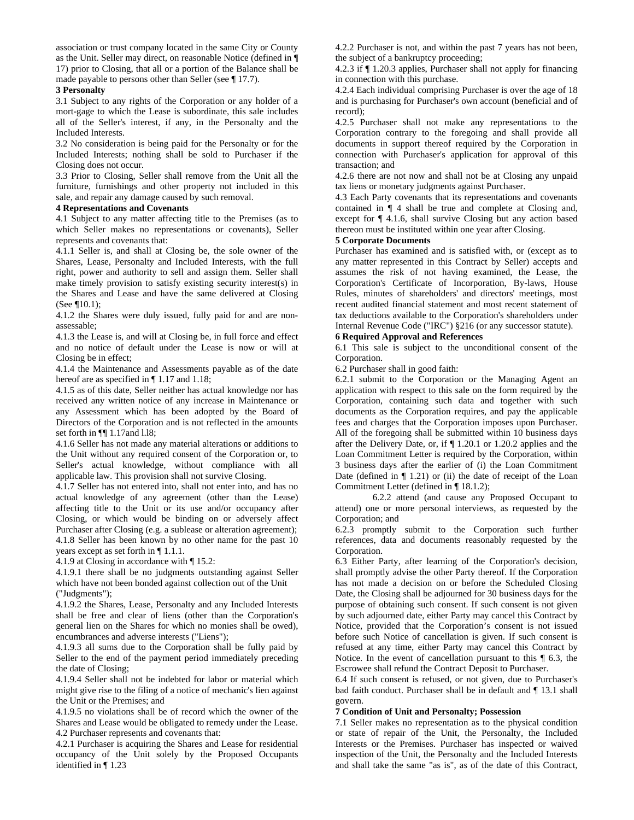association or trust company located in the same City or County as the Unit. Seller may direct, on reasonable Notice (defined in ¶ 17) prior to Closing, that all or a portion of the Balance shall be made payable to persons other than Seller (see ¶ 17.7).

### **3 Personalty**

3.1 Subject to any rights of the Corporation or any holder of a mort-gage to which the Lease is subordinate, this sale includes all of the Seller's interest, if any, in the Personalty and the Included Interests.

3.2 No consideration is being paid for the Personalty or for the Included Interests; nothing shall be sold to Purchaser if the Closing does not occur.

3.3 Prior to Closing, Seller shall remove from the Unit all the furniture, furnishings and other property not included in this sale, and repair any damage caused by such removal.

### **4 Representations and Covenants**

4.1 Subject to any matter affecting title to the Premises (as to which Seller makes no representations or covenants), Seller represents and covenants that:

4.1.1 Seller is, and shall at Closing be, the sole owner of the Shares, Lease, Personalty and Included Interests, with the full right, power and authority to sell and assign them. Seller shall make timely provision to satisfy existing security interest(s) in the Shares and Lease and have the same delivered at Closing (See ¶10.1);

4.1.2 the Shares were duly issued, fully paid for and are nonassessable;

4.1.3 the Lease is, and will at Closing be, in full force and effect and no notice of default under the Lease is now or will at Closing be in effect;

4.1.4 the Maintenance and Assessments payable as of the date hereof are as specified in  $\P$  1.17 and 1.18;

4.1.5 as of this date, Seller neither has actual knowledge nor has received any written notice of any increase in Maintenance or any Assessment which has been adopted by the Board of Directors of the Corporation and is not reflected in the amounts set forth in ¶¶ 1.17and l.l8;

4.1.6 Seller has not made any material alterations or additions to the Unit without any required consent of the Corporation or, to Seller's actual knowledge, without compliance with all applicable law. This provision shall not survive Closing.

4.1.7 Seller has not entered into, shall not enter into, and has no actual knowledge of any agreement (other than the Lease) affecting title to the Unit or its use and/or occupancy after Closing, or which would be binding on or adversely affect Purchaser after Closing (e.g. a sublease or alteration agreement); 4.1.8 Seller has been known by no other name for the past 10 years except as set forth in ¶ 1.1.1.

4.1.9 at Closing in accordance with ¶ 15.2:

4.1.9.1 there shall be no judgments outstanding against Seller which have not been bonded against collection out of the Unit ("Judgments");

4.1.9.2 the Shares, Lease, Personalty and any Included Interests shall be free and clear of liens (other than the Corporation's general lien on the Shares for which no monies shall be owed), encumbrances and adverse interests ("Liens");

4.1.9.3 all sums due to the Corporation shall be fully paid by Seller to the end of the payment period immediately preceding the date of Closing;

4.1.9.4 Seller shall not be indebted for labor or material which might give rise to the filing of a notice of mechanic's lien against the Unit or the Premises; and

4.1.9.5 no violations shall be of record which the owner of the Shares and Lease would be obligated to remedy under the Lease. 4.2 Purchaser represents and covenants that:

4.2.1 Purchaser is acquiring the Shares and Lease for residential occupancy of the Unit solely by the Proposed Occupants identified in ¶ 1.23

4.2.2 Purchaser is not, and within the past 7 years has not been, the subject of a bankruptcy proceeding;

4.2.3 if ¶ 1.20.3 applies, Purchaser shall not apply for financing in connection with this purchase.

4.2.4 Each individual comprising Purchaser is over the age of 18 and is purchasing for Purchaser's own account (beneficial and of record);

4.2.5 Purchaser shall not make any representations to the Corporation contrary to the foregoing and shall provide all documents in support thereof required by the Corporation in connection with Purchaser's application for approval of this transaction; and

4.2.6 there are not now and shall not be at Closing any unpaid tax liens or monetary judgments against Purchaser.

4.3 Each Party covenants that its representations and covenants contained in ¶ 4 shall be true and complete at Closing and, except for ¶ 4.1.6, shall survive Closing but any action based thereon must be instituted within one year after Closing.

### **5 Corporate Documents**

Purchaser has examined and is satisfied with, or (except as to any matter represented in this Contract by Seller) accepts and assumes the risk of not having examined, the Lease, the Corporation's Certificate of Incorporation, By-laws, House Rules, minutes of shareholders' and directors' meetings, most recent audited financial statement and most recent statement of tax deductions available to the Corporation's shareholders under Internal Revenue Code ("IRC") §216 (or any successor statute).

### **6 Required Approval and References**

6.1 This sale is subject to the unconditional consent of the Corporation.

6.2 Purchaser shall in good faith:

6.2.1 submit to the Corporation or the Managing Agent an application with respect to this sale on the form required by the Corporation, containing such data and together with such documents as the Corporation requires, and pay the applicable fees and charges that the Corporation imposes upon Purchaser. All of the foregoing shall be submitted within 10 business days after the Delivery Date, or, if ¶ 1.20.1 or 1.20.2 applies and the Loan Commitment Letter is required by the Corporation, within 3 business days after the earlier of (i) the Loan Commitment Date (defined in  $\P$  1.21) or (ii) the date of receipt of the Loan Commitment Letter (defined in ¶ 18.1.2);

 6.2.2 attend (and cause any Proposed Occupant to attend) one or more personal interviews, as requested by the Corporation; and

6.2.3 promptly submit to the Corporation such further references, data and documents reasonably requested by the Corporation.

6.3 Either Party, after learning of the Corporation's decision, shall promptly advise the other Party thereof. If the Corporation has not made a decision on or before the Scheduled Closing Date, the Closing shall be adjourned for 30 business days for the purpose of obtaining such consent. If such consent is not given by such adjourned date, either Party may cancel this Contract by Notice, provided that the Corporation's consent is not issued before such Notice of cancellation is given. If such consent is refused at any time, either Party may cancel this Contract by Notice. In the event of cancellation pursuant to this ¶ 6.3, the Escrowee shall refund the Contract Deposit to Purchaser.

6.4 If such consent is refused, or not given, due to Purchaser's bad faith conduct. Purchaser shall be in default and ¶ 13.1 shall govern.

### **7 Condition of Unit and Personalty; Possession**

7.1 Seller makes no representation as to the physical condition or state of repair of the Unit, the Personalty, the Included Interests or the Premises. Purchaser has inspected or waived inspection of the Unit, the Personalty and the Included Interests and shall take the same "as is", as of the date of this Contract,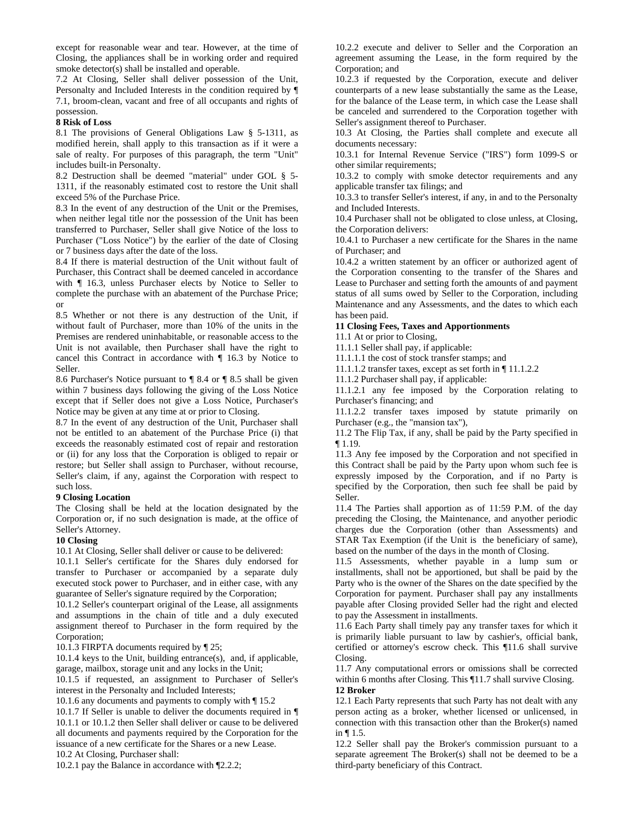except for reasonable wear and tear. However, at the time of Closing, the appliances shall be in working order and required smoke detector(s) shall be installed and operable.

7.2 At Closing, Seller shall deliver possession of the Unit, Personalty and Included Interests in the condition required by ¶ 7.1, broom-clean, vacant and free of all occupants and rights of possession.

#### **8 Risk of Loss**

8.1 The provisions of General Obligations Law § 5-1311, as modified herein, shall apply to this transaction as if it were a sale of realty. For purposes of this paragraph, the term "Unit" includes built-in Personalty.

8.2 Destruction shall be deemed "material" under GOL § 5- 1311, if the reasonably estimated cost to restore the Unit shall exceed 5% of the Purchase Price.

8.3 In the event of any destruction of the Unit or the Premises, when neither legal title nor the possession of the Unit has been transferred to Purchaser, Seller shall give Notice of the loss to Purchaser ("Loss Notice") by the earlier of the date of Closing or 7 business days after the date of the loss.

8.4 If there is material destruction of the Unit without fault of Purchaser, this Contract shall be deemed canceled in accordance with  $\P$  16.3, unless Purchaser elects by Notice to Seller to complete the purchase with an abatement of the Purchase Price; or

8.5 Whether or not there is any destruction of the Unit, if without fault of Purchaser, more than 10% of the units in the Premises are rendered uninhabitable, or reasonable access to the Unit is not available, then Purchaser shall have the right to cancel this Contract in accordance with ¶ 16.3 by Notice to Seller.

8.6 Purchaser's Notice pursuant to ¶ 8.4 or ¶ 8.5 shall be given within 7 business days following the giving of the Loss Notice except that if Seller does not give a Loss Notice, Purchaser's Notice may be given at any time at or prior to Closing.

8.7 In the event of any destruction of the Unit, Purchaser shall not be entitled to an abatement of the Purchase Price (i) that exceeds the reasonably estimated cost of repair and restoration or (ii) for any loss that the Corporation is obliged to repair or restore; but Seller shall assign to Purchaser, without recourse, Seller's claim, if any, against the Corporation with respect to such loss.

### **9 Closing Location**

The Closing shall be held at the location designated by the Corporation or, if no such designation is made, at the office of Seller's Attorney.

### **10 Closing**

10.1 At Closing, Seller shall deliver or cause to be delivered:

10.1.1 Seller's certificate for the Shares duly endorsed for transfer to Purchaser or accompanied by a separate duly executed stock power to Purchaser, and in either case, with any guarantee of Seller's signature required by the Corporation;

10.1.2 Seller's counterpart original of the Lease, all assignments and assumptions in the chain of title and a duly executed assignment thereof to Purchaser in the form required by the Corporation;

10.1.3 FIRPTA documents required by ¶ 25;

10.1.4 keys to the Unit, building entrance(s), and, if applicable, garage, mailbox, storage unit and any locks in the Unit;

10.1.5 if requested, an assignment to Purchaser of Seller's interest in the Personalty and Included Interests;

10.1.6 any documents and payments to comply with ¶ 15.2

10.1.7 If Seller is unable to deliver the documents required in ¶ 10.1.1 or 10.1.2 then Seller shall deliver or cause to be delivered all documents and payments required by the Corporation for the issuance of a new certificate for the Shares or a new Lease.

10.2 At Closing, Purchaser shall:

10.2.1 pay the Balance in accordance with ¶2.2.2;

10.2.2 execute and deliver to Seller and the Corporation an agreement assuming the Lease, in the form required by the Corporation; and

10.2.3 if requested by the Corporation, execute and deliver counterparts of a new lease substantially the same as the Lease, for the balance of the Lease term, in which case the Lease shall be canceled and surrendered to the Corporation together with Seller's assignment thereof to Purchaser.

10.3 At Closing, the Parties shall complete and execute all documents necessary:

10.3.1 for Internal Revenue Service ("IRS") form 1099-S or other similar requirements;

10.3.2 to comply with smoke detector requirements and any applicable transfer tax filings; and

10.3.3 to transfer Seller's interest, if any, in and to the Personalty and Included Interests.

10.4 Purchaser shall not be obligated to close unless, at Closing, the Corporation delivers:

10.4.1 to Purchaser a new certificate for the Shares in the name of Purchaser; and

10.4.2 a written statement by an officer or authorized agent of the Corporation consenting to the transfer of the Shares and Lease to Purchaser and setting forth the amounts of and payment status of all sums owed by Seller to the Corporation, including Maintenance and any Assessments, and the dates to which each has been paid.

### **11 Closing Fees, Taxes and Apportionments**

11.1 At or prior to Closing,

11.1.1 Seller shall pay, if applicable:

11.1.1.1 the cost of stock transfer stamps; and

11.1.1.2 transfer taxes, except as set forth in ¶ 11.1.2.2

11.1.2 Purchaser shall pay, if applicable:

11.1.2.1 any fee imposed by the Corporation relating to Purchaser's financing; and

11.1.2.2 transfer taxes imposed by statute primarily on Purchaser (e.g., the "mansion tax"),

11.2 The Flip Tax, if any, shall be paid by the Party specified in ¶ 1.19.

11.3 Any fee imposed by the Corporation and not specified in this Contract shall be paid by the Party upon whom such fee is expressly imposed by the Corporation, and if no Party is specified by the Corporation, then such fee shall be paid by Seller.

11.4 The Parties shall apportion as of 11:59 P.M. of the day preceding the Closing, the Maintenance, and anyother periodic charges due the Corporation (other than Assessments) and STAR Tax Exemption (if the Unit is the beneficiary of same), based on the number of the days in the month of Closing.

11.5 Assessments, whether payable in a lump sum or installments, shall not be apportioned, but shall be paid by the Party who is the owner of the Shares on the date specified by the Corporation for payment. Purchaser shall pay any installments payable after Closing provided Seller had the right and elected to pay the Assessment in installments.

11.6 Each Party shall timely pay any transfer taxes for which it is primarily liable pursuant to law by cashier's, official bank, certified or attorney's escrow check. This ¶11.6 shall survive Closing.

11.7 Any computational errors or omissions shall be corrected within 6 months after Closing. This ¶11.7 shall survive Closing.

## **12 Broker**

12.1 Each Party represents that such Party has not dealt with any person acting as a broker, whether licensed or unlicensed, in connection with this transaction other than the Broker(s) named in ¶ 1.5.

12.2 Seller shall pay the Broker's commission pursuant to a separate agreement The Broker(s) shall not be deemed to be a third-party beneficiary of this Contract.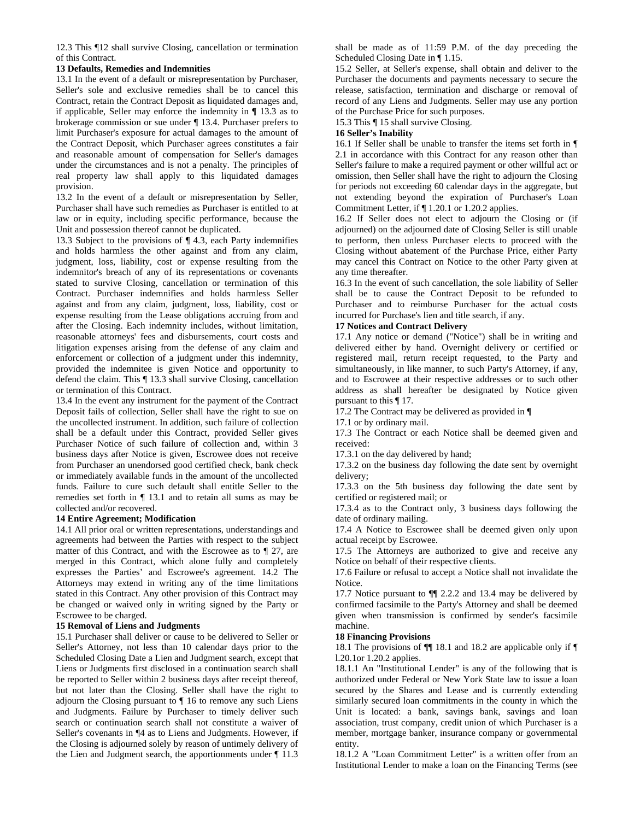12.3 This ¶12 shall survive Closing, cancellation or termination of this Contract.

### **13 Defaults, Remedies and Indemnities**

13.1 In the event of a default or misrepresentation by Purchaser, Seller's sole and exclusive remedies shall be to cancel this Contract, retain the Contract Deposit as liquidated damages and, if applicable, Seller may enforce the indemnity in ¶ 13.3 as to brokerage commission or sue under ¶ 13.4. Purchaser prefers to limit Purchaser's exposure for actual damages to the amount of the Contract Deposit, which Purchaser agrees constitutes a fair and reasonable amount of compensation for Seller's damages under the circumstances and is not a penalty. The principles of real property law shall apply to this liquidated damages provision.

13.2 In the event of a default or misrepresentation by Seller, Purchaser shall have such remedies as Purchaser is entitled to at law or in equity, including specific performance, because the Unit and possession thereof cannot be duplicated.

13.3 Subject to the provisions of ¶ 4.3, each Party indemnifies and holds harmless the other against and from any claim, judgment, loss, liability, cost or expense resulting from the indemnitor's breach of any of its representations or covenants stated to survive Closing, cancellation or termination of this Contract. Purchaser indemnifies and holds harmless Seller against and from any claim, judgment, loss, liability, cost or expense resulting from the Lease obligations accruing from and after the Closing. Each indemnity includes, without limitation, reasonable attorneys' fees and disbursements, court costs and litigation expenses arising from the defense of any claim and enforcement or collection of a judgment under this indemnity, provided the indemnitee is given Notice and opportunity to defend the claim. This ¶ 13.3 shall survive Closing, cancellation or termination of this Contract.

13.4 In the event any instrument for the payment of the Contract Deposit fails of collection, Seller shall have the right to sue on the uncollected instrument. In addition, such failure of collection shall be a default under this Contract, provided Seller gives Purchaser Notice of such failure of collection and, within 3 business days after Notice is given, Escrowee does not receive from Purchaser an unendorsed good certified check, bank check or immediately available funds in the amount of the uncollected funds. Failure to cure such default shall entitle Seller to the remedies set forth in ¶ 13.1 and to retain all sums as may be collected and/or recovered.

### **14 Entire Agreement; Modification**

14.1 All prior oral or written representations, understandings and agreements had between the Parties with respect to the subject matter of this Contract, and with the Escrowee as to ¶ 27, are merged in this Contract, which alone fully and completely expresses the Parties' and Escrowee's agreement. 14.2 The Attorneys may extend in writing any of the time limitations stated in this Contract. Any other provision of this Contract may be changed or waived only in writing signed by the Party or Escrowee to be charged.

### **15 Removal of Liens and Judgments**

15.1 Purchaser shall deliver or cause to be delivered to Seller or Seller's Attorney, not less than 10 calendar days prior to the Scheduled Closing Date a Lien and Judgment search, except that Liens or Judgments first disclosed in a continuation search shall be reported to Seller within 2 business days after receipt thereof, but not later than the Closing. Seller shall have the right to adjourn the Closing pursuant to ¶ 16 to remove any such Liens and Judgments. Failure by Purchaser to timely deliver such search or continuation search shall not constitute a waiver of Seller's covenants in ¶4 as to Liens and Judgments. However, if the Closing is adjourned solely by reason of untimely delivery of the Lien and Judgment search, the apportionments under ¶ 11.3

shall be made as of 11:59 P.M. of the day preceding the Scheduled Closing Date in ¶ 1.15.

15.2 Seller, at Seller's expense, shall obtain and deliver to the Purchaser the documents and payments necessary to secure the release, satisfaction, termination and discharge or removal of record of any Liens and Judgments. Seller may use any portion of the Purchase Price for such purposes.

15.3 This ¶ 15 shall survive Closing.

#### **16 Seller's Inability**

16.1 If Seller shall be unable to transfer the items set forth in ¶ 2.1 in accordance with this Contract for any reason other than Seller's failure to make a required payment or other willful act or omission, then Seller shall have the right to adjourn the Closing for periods not exceeding 60 calendar days in the aggregate, but not extending beyond the expiration of Purchaser's Loan Commitment Letter, if ¶ 1.20.1 or 1.20.2 applies.

16.2 If Seller does not elect to adjourn the Closing or (if adjourned) on the adjourned date of Closing Seller is still unable to perform, then unless Purchaser elects to proceed with the Closing without abatement of the Purchase Price, either Party may cancel this Contract on Notice to the other Party given at any time thereafter.

16.3 In the event of such cancellation, the sole liability of Seller shall be to cause the Contract Deposit to be refunded to Purchaser and to reimburse Purchaser for the actual costs incurred for Purchase's lien and title search, if any.

### **17 Notices and Contract Delivery**

17.1 Any notice or demand ("Notice") shall be in writing and delivered either by hand. Overnight delivery or certified or registered mail, return receipt requested, to the Party and simultaneously, in like manner, to such Party's Attorney, if any, and to Escrowee at their respective addresses or to such other address as shall hereafter be designated by Notice given pursuant to this ¶ 17.

17.2 The Contract may be delivered as provided in ¶

17.1 or by ordinary mail.

17.3 The Contract or each Notice shall be deemed given and received:

17.3.1 on the day delivered by hand;

17.3.2 on the business day following the date sent by overnight delivery;

17.3.3 on the 5th business day following the date sent by certified or registered mail; or

17.3.4 as to the Contract only, 3 business days following the date of ordinary mailing.

17.4 A Notice to Escrowee shall be deemed given only upon actual receipt by Escrowee.

17.5 The Attorneys are authorized to give and receive any Notice on behalf of their respective clients.

17.6 Failure or refusal to accept a Notice shall not invalidate the Notice.

17.7 Notice pursuant to ¶¶ 2.2.2 and 13.4 may be delivered by confirmed facsimile to the Party's Attorney and shall be deemed given when transmission is confirmed by sender's facsimile machine.

#### **18 Financing Provisions**

18.1 The provisions of  $\P$  18.1 and 18.2 are applicable only if  $\P$ l.20.1or 1.20.2 applies.

18.1.1 An "Institutional Lender" is any of the following that is authorized under Federal or New York State law to issue a loan secured by the Shares and Lease and is currently extending similarly secured loan commitments in the county in which the Unit is located: a bank, savings bank, savings and loan association, trust company, credit union of which Purchaser is a member, mortgage banker, insurance company or governmental entity.

18.1.2 A "Loan Commitment Letter" is a written offer from an Institutional Lender to make a loan on the Financing Terms (see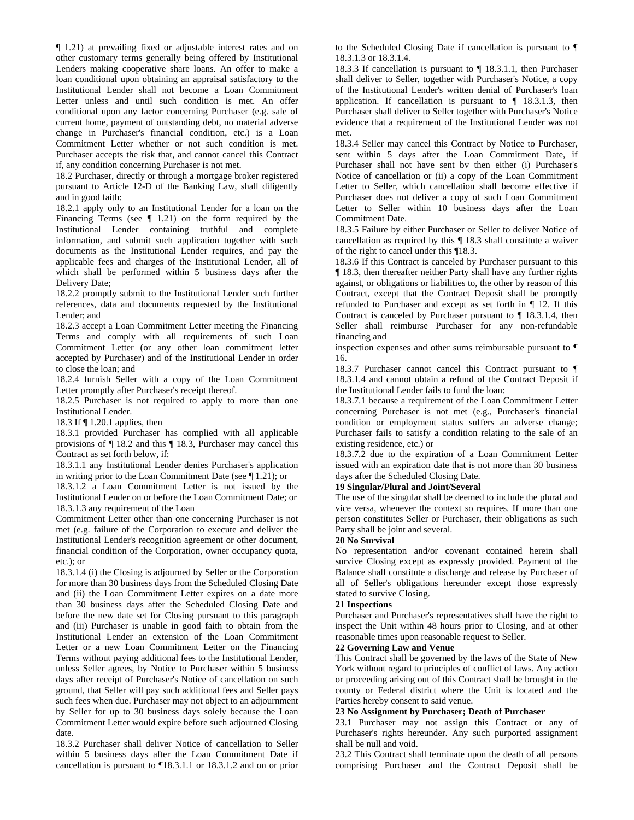¶ 1.21) at prevailing fixed or adjustable interest rates and on other customary terms generally being offered by Institutional Lenders making cooperative share loans. An offer to make a loan conditional upon obtaining an appraisal satisfactory to the Institutional Lender shall not become a Loan Commitment Letter unless and until such condition is met. An offer conditional upon any factor concerning Purchaser (e.g. sale of current home, payment of outstanding debt, no material adverse change in Purchaser's financial condition, etc.) is a Loan Commitment Letter whether or not such condition is met. Purchaser accepts the risk that, and cannot cancel this Contract if, any condition concerning Purchaser is not met.

18.2 Purchaser, directly or through a mortgage broker registered pursuant to Article 12-D of the Banking Law, shall diligently and in good faith:

18.2.1 apply only to an Institutional Lender for a loan on the Financing Terms (see  $\P$  1.21) on the form required by the Institutional Lender containing truthful and complete information, and submit such application together with such documents as the Institutional Lender requires, and pay the applicable fees and charges of the Institutional Lender, all of which shall be performed within 5 business days after the Delivery Date;

18.2.2 promptly submit to the Institutional Lender such further references, data and documents requested by the Institutional Lender; and

18.2.3 accept a Loan Commitment Letter meeting the Financing Terms and comply with all requirements of such Loan Commitment Letter (or any other loan commitment letter accepted by Purchaser) and of the Institutional Lender in order to close the loan; and

18.2.4 furnish Seller with a copy of the Loan Commitment Letter promptly after Purchaser's receipt thereof.

18.2.5 Purchaser is not required to apply to more than one Institutional Lender.

18.3 If ¶ 1.20.1 applies, then

18.3.1 provided Purchaser has complied with all applicable provisions of ¶ 18.2 and this ¶ 18.3, Purchaser may cancel this Contract as set forth below, if:

18.3.1.1 any Institutional Lender denies Purchaser's application in writing prior to the Loan Commitment Date (see ¶ 1.21); or

18.3.1.2 a Loan Commitment Letter is not issued by the Institutional Lender on or before the Loan Commitment Date; or 18.3.1.3 any requirement of the Loan

Commitment Letter other than one concerning Purchaser is not met (e.g. failure of the Corporation to execute and deliver the Institutional Lender's recognition agreement or other document, financial condition of the Corporation, owner occupancy quota, etc.); or

18.3.1.4 (i) the Closing is adjourned by Seller or the Corporation for more than 30 business days from the Scheduled Closing Date and (ii) the Loan Commitment Letter expires on a date more than 30 business days after the Scheduled Closing Date and before the new date set for Closing pursuant to this paragraph and (iii) Purchaser is unable in good faith to obtain from the Institutional Lender an extension of the Loan Commitment Letter or a new Loan Commitment Letter on the Financing Terms without paying additional fees to the Institutional Lender, unless Seller agrees, by Notice to Purchaser within 5 business days after receipt of Purchaser's Notice of cancellation on such ground, that Seller will pay such additional fees and Seller pays such fees when due. Purchaser may not object to an adjournment by Seller for up to 30 business days solely because the Loan Commitment Letter would expire before such adjourned Closing date.

18.3.2 Purchaser shall deliver Notice of cancellation to Seller within 5 business days after the Loan Commitment Date if cancellation is pursuant to ¶18.3.1.1 or 18.3.1.2 and on or prior to the Scheduled Closing Date if cancellation is pursuant to ¶ 18.3.1.3 or 18.3.1.4.

18.3.3 If cancellation is pursuant to ¶ 18.3.1.1, then Purchaser shall deliver to Seller, together with Purchaser's Notice, a copy of the Institutional Lender's written denial of Purchaser's loan application. If cancellation is pursuant to  $\P$  18.3.1.3, then Purchaser shall deliver to Seller together with Purchaser's Notice evidence that a requirement of the Institutional Lender was not met.

18.3.4 Seller may cancel this Contract by Notice to Purchaser, sent within 5 days after the Loan Commitment Date, if Purchaser shall not have sent bv then either (i) Purchaser's Notice of cancellation or (ii) a copy of the Loan Commitment Letter to Seller, which cancellation shall become effective if Purchaser does not deliver a copy of such Loan Commitment Letter to Seller within 10 business days after the Loan Commitment Date.

18.3.5 Failure by either Purchaser or Seller to deliver Notice of cancellation as required by this ¶ 18.3 shall constitute a waiver of the right to cancel under this ¶18.3.

18.3.6 If this Contract is canceled by Purchaser pursuant to this ¶ 18.3, then thereafter neither Party shall have any further rights against, or obligations or liabilities to, the other by reason of this Contract, except that the Contract Deposit shall be promptly refunded to Purchaser and except as set forth in ¶ 12. If this Contract is canceled by Purchaser pursuant to  $\P$  18.3.1.4, then Seller shall reimburse Purchaser for any non-refundable financing and

inspection expenses and other sums reimbursable pursuant to ¶ 16.

18.3.7 Purchaser cannot cancel this Contract pursuant to ¶ 18.3.1.4 and cannot obtain a refund of the Contract Deposit if the Institutional Lender fails to fund the loan:

18.3.7.1 because a requirement of the Loan Commitment Letter concerning Purchaser is not met (e.g., Purchaser's financial condition or employment status suffers an adverse change; Purchaser fails to satisfy a condition relating to the sale of an existing residence, etc.) or

18.3.7.2 due to the expiration of a Loan Commitment Letter issued with an expiration date that is not more than 30 business days after the Scheduled Closing Date.

### **19 Singular/Plural and Joint/Several**

The use of the singular shall be deemed to include the plural and vice versa, whenever the context so requires. If more than one person constitutes Seller or Purchaser, their obligations as such Party shall be joint and several.

#### **20 No Survival**

No representation and/or covenant contained herein shall survive Closing except as expressly provided. Payment of the Balance shall constitute a discharge and release by Purchaser of all of Seller's obligations hereunder except those expressly stated to survive Closing.

#### **21 Inspections**

Purchaser and Purchaser's representatives shall have the right to inspect the Unit within 48 hours prior to Closing, and at other reasonable times upon reasonable request to Seller.

### **22 Governing Law and Venue**

This Contract shall be governed by the laws of the State of New York without regard to principles of conflict of laws. Any action or proceeding arising out of this Contract shall be brought in the county or Federal district where the Unit is located and the Parties hereby consent to said venue.

#### **23 No Assignment by Purchaser; Death of Purchaser**

23.1 Purchaser may not assign this Contract or any of Purchaser's rights hereunder. Any such purported assignment shall be null and void.

23.2 This Contract shall terminate upon the death of all persons comprising Purchaser and the Contract Deposit shall be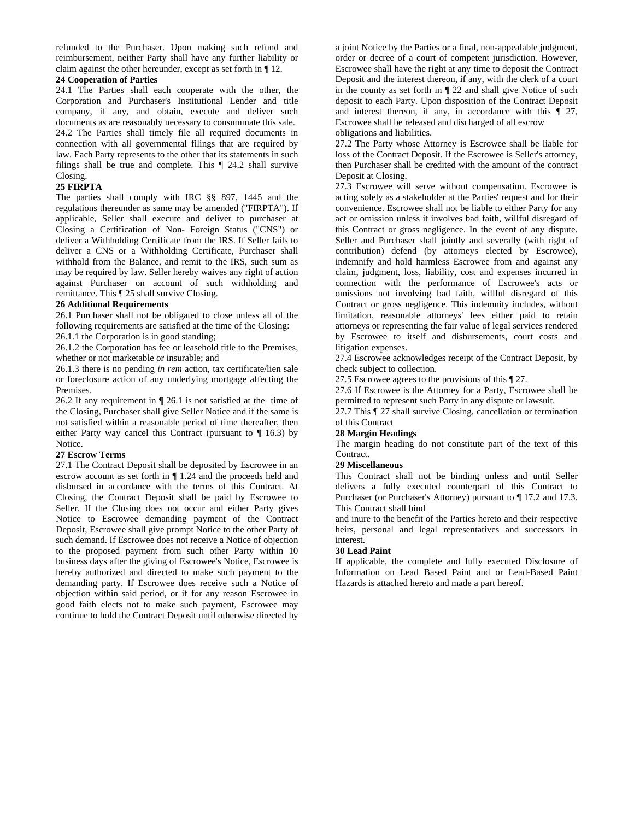refunded to the Purchaser. Upon making such refund and reimbursement, neither Party shall have any further liability or claim against the other hereunder, except as set forth in ¶ 12.

### **24 Cooperation of Parties**

24.1 The Parties shall each cooperate with the other, the Corporation and Purchaser's Institutional Lender and title company, if any, and obtain, execute and deliver such documents as are reasonably necessary to consummate this sale. 24.2 The Parties shall timely file all required documents in connection with all governmental filings that are required by law. Each Party represents to the other that its statements in such filings shall be true and complete. This ¶ 24.2 shall survive Closing.

### **25 FIRPTA**

The parties shall comply with IRC §§ 897, 1445 and the regulations thereunder as same may be amended ("FIRPTA"). If applicable, Seller shall execute and deliver to purchaser at Closing a Certification of Non- Foreign Status ("CNS") or deliver a Withholding Certificate from the IRS. If Seller fails to deliver a CNS or a Withholding Certificate, Purchaser shall withhold from the Balance, and remit to the IRS, such sum as may be required by law. Seller hereby waives any right of action against Purchaser on account of such withholding and remittance. This ¶ 25 shall survive Closing.

### **26 Additional Requirements**

26.1 Purchaser shall not be obligated to close unless all of the following requirements are satisfied at the time of the Closing: 26.1.1 the Corporation is in good standing;

26.1.2 the Corporation has fee or leasehold title to the Premises, whether or not marketable or insurable; and

26.1.3 there is no pending *in rem* action, tax certificate/lien sale or foreclosure action of any underlying mortgage affecting the Premises.

26.2 If any requirement in ¶ 26.1 is not satisfied at the time of the Closing, Purchaser shall give Seller Notice and if the same is not satisfied within a reasonable period of time thereafter, then either Party way cancel this Contract (pursuant to ¶ 16.3) by Notice.

### **27 Escrow Terms**

27.1 The Contract Deposit shall be deposited by Escrowee in an escrow account as set forth in ¶ 1.24 and the proceeds held and disbursed in accordance with the terms of this Contract. At Closing, the Contract Deposit shall be paid by Escrowee to Seller. If the Closing does not occur and either Party gives Notice to Escrowee demanding payment of the Contract Deposit, Escrowee shall give prompt Notice to the other Party of such demand. If Escrowee does not receive a Notice of objection to the proposed payment from such other Party within 10 business days after the giving of Escrowee's Notice, Escrowee is hereby authorized and directed to make such payment to the demanding party. If Escrowee does receive such a Notice of objection within said period, or if for any reason Escrowee in good faith elects not to make such payment, Escrowee may continue to hold the Contract Deposit until otherwise directed by

a joint Notice by the Parties or a final, non-appealable judgment, order or decree of a court of competent jurisdiction. However, Escrowee shall have the right at any time to deposit the Contract Deposit and the interest thereon, if any, with the clerk of a court in the county as set forth in ¶ 22 and shall give Notice of such deposit to each Party. Upon disposition of the Contract Deposit and interest thereon, if any, in accordance with this ¶ 27, Escrowee shall be released and discharged of all escrow obligations and liabilities.

27.2 The Party whose Attorney is Escrowee shall be liable for loss of the Contract Deposit. If the Escrowee is Seller's attorney, then Purchaser shall be credited with the amount of the contract Deposit at Closing.

27.3 Escrowee will serve without compensation. Escrowee is acting solely as a stakeholder at the Parties' request and for their convenience. Escrowee shall not be liable to either Party for any act or omission unless it involves bad faith, willful disregard of this Contract or gross negligence. In the event of any dispute. Seller and Purchaser shall jointly and severally (with right of contribution) defend (by attorneys elected by Escrowee), indemnify and hold harmless Escrowee from and against any claim, judgment, loss, liability, cost and expenses incurred in connection with the performance of Escrowee's acts or omissions not involving bad faith, willful disregard of this Contract or gross negligence. This indemnity includes, without limitation, reasonable attorneys' fees either paid to retain attorneys or representing the fair value of legal services rendered by Escrowee to itself and disbursements, court costs and litigation expenses.

27.4 Escrowee acknowledges receipt of the Contract Deposit, by check subject to collection.

27.5 Escrowee agrees to the provisions of this ¶ 27.

27.6 If Escrowee is the Attorney for a Party, Escrowee shall be permitted to represent such Party in any dispute or lawsuit.

27.7 This ¶ 27 shall survive Closing, cancellation or termination of this Contract

### **28 Margin Headings**

The margin heading do not constitute part of the text of this Contract.

### **29 Miscellaneous**

This Contract shall not be binding unless and until Seller delivers a fully executed counterpart of this Contract to Purchaser (or Purchaser's Attorney) pursuant to ¶ 17.2 and 17.3. This Contract shall bind

and inure to the benefit of the Parties hereto and their respective heirs, personal and legal representatives and successors in interest.

### **30 Lead Paint**

If applicable, the complete and fully executed Disclosure of Information on Lead Based Paint and or Lead-Based Paint Hazards is attached hereto and made a part hereof.